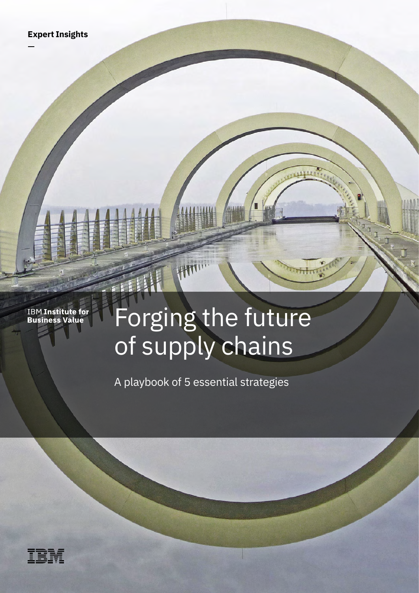**IBM Institute for<br>Business Value** 

# Forging the future of supply chains

**ALLIAN** 

A playbook of 5 essential strategies

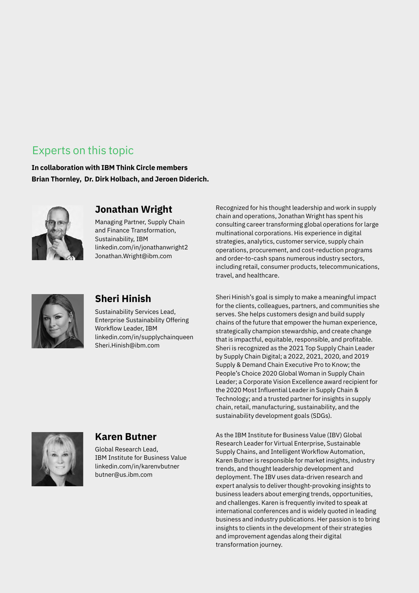### Experts on this topic

**In collaboration with IBM Think Circle members Brian Thornley, Dr. Dirk Holbach, and Jeroen Diderich.**



### **Jonathan Wright**

Managing Partner, Supply Chain and Finance Transformation, Sustainability, IBM [linkedin.com/in/jonathanwright2](https://www.linkedin.com/in/jonathanwright2) [Jonathan.Wright@ibm.com](mailto:Jonathan.Wright%40ibm.com?subject=)



### **Sheri Hinish**

Sustainability Services Lead, Enterprise Sustainability Offering Workflow Leader, IBM [linkedin.com/in/supplychainqueen](https://www.linkedin.com/in/supplychainqueen) [Sheri.Hinish@ibm.com](mailto:Sheri.Hinish%40ibm.com?subject=)

Recognized for his thought leadership and work in supply chain and operations, Jonathan Wright has spent his consulting career transforming global operations for large multinational corporations. His experience in digital strategies, analytics, customer service, supply chain operations, procurement, and cost-reduction programs and order-to-cash spans numerous industry sectors, including retail, consumer products, telecommunications, travel, and healthcare.

Sheri Hinish's goal is simply to make a meaningful impact for the clients, colleagues, partners, and communities she serves. She helps customers design and build supply chains of the future that empower the human experience, strategically champion stewardship, and create change that is impactful, equitable, responsible, and profitable. Sheri is recognized as the 2021 Top Supply Chain Leader by Supply Chain Digital; a 2022, 2021, 2020, and 2019 Supply & Demand Chain Executive Pro to Know; the People's Choice 2020 Global Woman in Supply Chain Leader; a Corporate Vision Excellence award recipient for the 2020 Most Influential Leader in Supply Chain & Technology; and a trusted partner for insights in supply chain, retail, manufacturing, sustainability, and the sustainability development goals (SDGs).



### **Karen Butner**

Global Research Lead, IBM Institute for Business Value [linkedin.com/in/karenvbutner](https://www.linkedin.com/in/karenvbutner) [butner@us.ibm.com](mailto:butner%40us.ibm.com?subject=)

As the IBM Institute for Business Value (IBV) Global Research Leader for Virtual Enterprise, Sustainable Supply Chains, and Intelligent Workflow Automation, Karen Butner is responsible for market insights, industry trends, and thought leadership development and deployment. The IBV uses data-driven research and expert analysis to deliver thought-provoking insights to business leaders about emerging trends, opportunities, and challenges. Karen is frequently invited to speak at international conferences and is widely quoted in leading business and industry publications. Her passion is to bring insights to clients in the development of their strategies and improvement agendas along their digital transformation journey.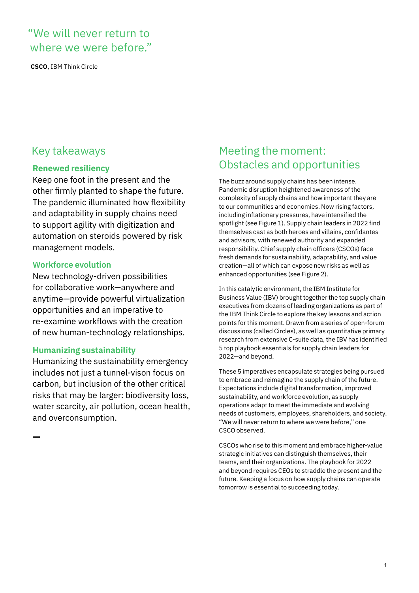### "We will never return to where we were before."

**CSCO**, IBM Think Circle

### **Renewed resiliency**

Keep one foot in the present and the other firmly planted to shape the future. The pandemic illuminated how flexibility and adaptability in supply chains need to support agility with digitization and automation on steroids powered by risk management models.

#### **Workforce evolution**

New technology-driven possibilities for collaborative work—anywhere and anytime—provide powerful virtualization opportunities and an imperative to re-examine workflows with the creation of new human-technology relationships.

#### **Humanizing sustainability**

Humanizing the sustainability emergency includes not just a tunnel-vison focus on carbon, but inclusion of the other critical risks that may be larger: biodiversity loss, water scarcity, air pollution, ocean health, and overconsumption.

### Key takeaways **Meeting the moment:** Obstacles and opportunities

The buzz around supply chains has been intense. Pandemic disruption heightened awareness of the complexity of supply chains and how important they are to our communities and economies. Now rising factors, including inflationary pressures, have intensified the spotlight (see Figure 1). Supply chain leaders in 2022 find themselves cast as both heroes and villains, confidantes and advisors, with renewed authority and expanded responsibility. Chief supply chain officers (CSCOs) face fresh demands for sustainability, adaptability, and value creation—all of which can expose new risks as well as enhanced opportunities (see Figure 2).

In this catalytic environment, the IBM Institute for Business Value (IBV) brought together the top supply chain executives from dozens of leading organizations as part of the IBM Think Circle to explore the key lessons and action points for this moment. Drawn from a series of open-forum discussions (called Circles), as well as quantitative primary research from extensive C-suite data, the IBV has identified 5 top playbook essentials for supply chain leaders for 2022—and beyond.

These 5 imperatives encapsulate strategies being pursued to embrace and reimagine the supply chain of the future. Expectations include digital transformation, improved sustainability, and workforce evolution, as supply operations adapt to meet the immediate and evolving needs of customers, employees, shareholders, and society. "We will never return to where we were before," one CSCO observed.

CSCOs who rise to this moment and embrace higher-value strategic initiatives can distinguish themselves, their teams, and their organizations. The playbook for 2022 and beyond requires CEOs to straddle the present and the future. Keeping a focus on how supply chains can operate tomorrow is essential to succeeding today.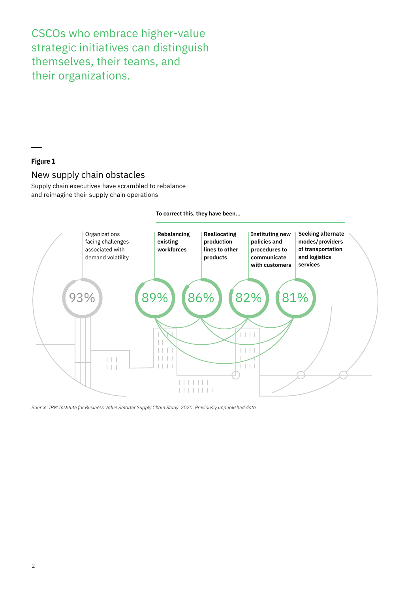CSCOs who embrace higher-value strategic initiatives can distinguish themselves, their teams, and their organizations.

#### **Figure 1**

#### New supply chain obstacles

Supply chain executives have scrambled to rebalance and reimagine their supply chain operations



**To correct this, they have been...**

*Source: IBM Institute for Business Value Smarter Supply Chain Study. 2020. Previously unpublished data.*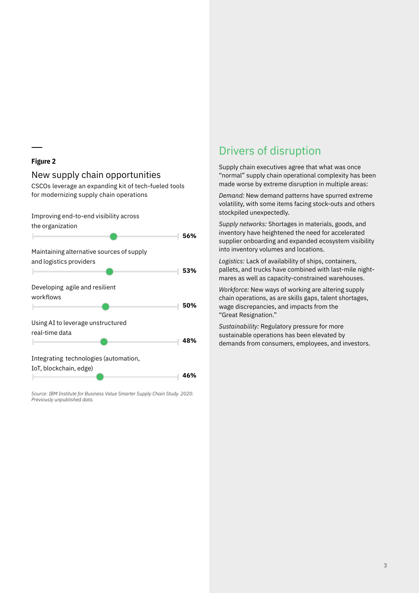#### **Figure 2**

#### New supply chain opportunities

CSCOs leverage an expanding kit of tech-fueled tools for modernizing supply chain operations



*Source: IBM Institute for Business Value Smarter Supply Chain Study. 2020. Previously unpublished data.*

### Drivers of disruption

Supply chain executives agree that what was once "normal" supply chain operational complexity has been made worse by extreme disruption in multiple areas:

*Demand:* New demand patterns have spurred extreme volatility, with some items facing stock-outs and others stockpiled unexpectedly.

*Supply networks:* Shortages in materials, goods, and inventory have heightened the need for accelerated supplier onboarding and expanded ecosystem visibility into inventory volumes and locations.

*Logistics:* Lack of availability of ships, containers, pallets, and trucks have combined with last-mile nightmares as well as capacity-constrained warehouses.

*Workforce:* New ways of working are altering supply chain operations, as are skills gaps, talent shortages, wage discrepancies, and impacts from the "Great Resignation."

*Sustainability:* Regulatory pressure for more sustainable operations has been elevated by demands from consumers, employees, and investors.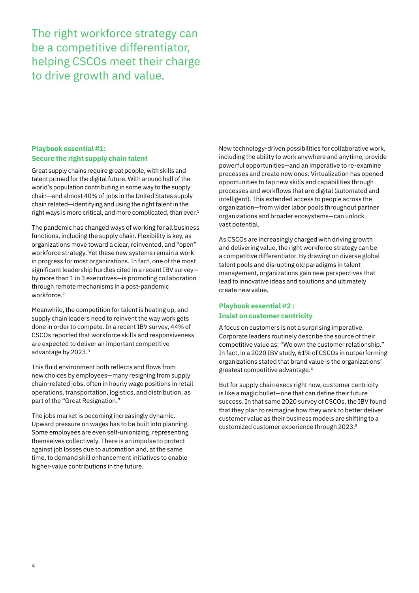The right workforce strategy can be a competitive differentiator, helping CSCOs meet their charge to drive growth and value.

#### **Playbook essential #1: Secure the right supply chain talent**

Great supply chains require great people, with skills and talent primed for the digital future. With around half of the world's population contributing in some way to the supply chain—and almost 40% of jobs in the United States supply chain related—identifying and using the right talent in the right ways is more critical, and more complicated, than ever.<sup>1</sup>

The pandemic has changed ways of working for all business functions, including the supply chain. Flexibility is key, as organizations move toward a clear, reinvented, and "open" workforce strategy. Yet these new systems remain a work in progress for most organizations. In fact, one of the most significant leadership hurdles cited in a recent IBV survey by more than 1 in 3 executives—is promoting collaboration through remote mechanisms in a post-pandemic workforce.<sup>2</sup>

Meanwhile, the competition for talent is heating up, and supply chain leaders need to reinvent the way work gets done in order to compete. In a recent IBV survey, 44% of CSCOs reported that workforce skills and responsiveness are expected to deliver an important competitive advantage by 2023.3

This fluid environment both reflects and flows from new choices by employees—many resigning from supply chain-related jobs, often in hourly wage positions in retail operations, transportation, logistics, and distribution, as part of the "Great Resignation."

The jobs market is becoming increasingly dynamic. Upward pressure on wages has to be built into planning. Some employees are even self-unionizing, representing themselves collectively. There is an impulse to protect against job losses due to automation and, at the same time, to demand skill enhancement initiatives to enable higher-value contributions in the future.

New technology-driven possibilities for collaborative work, including the ability to work anywhere and anytime, provide powerful opportunities—and an imperative to re-examine processes and create new ones. Virtualization has opened opportunities to tap new skills and capabilities through processes and workflows that are digital (automated and intelligent). This extended access to people across the organization—from wider labor pools throughout partner organizations and broader ecosystems—can unlock vast potential.

As CSCOs are increasingly charged with driving growth and delivering value, the right workforce strategy can be a competitive differentiator. By drawing on diverse global talent pools and disrupting old paradigms in talent management, organizations gain new perspectives that lead to innovative ideas and solutions and ultimately create new value.

#### **Playbook essential #2 : Insist on customer centricity**

A focus on customers is not a surprising imperative. Corporate leaders routinely describe the source of their competitive value as: "We own the customer relationship." In fact, in a 2020 IBV study, 61% of CSCOs in outperforming organizations stated that brand value is the organizations' greatest competitive advantage.4

But for supply chain execs right now, customer centricity is like a magic bullet—one that can define their future success. In that same 2020 survey of CSCOs, the IBV found that they plan to reimagine how they work to better deliver customer value as their business models are shifting to a customized customer experience through 2023.5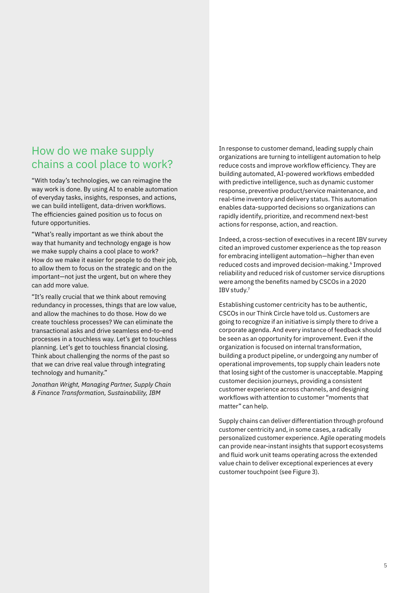### How do we make supply chains a cool place to work?

"With today's technologies, we can reimagine the way work is done. By using AI to enable automation of everyday tasks, insights, responses, and actions, we can build intelligent, data-driven workflows. The efficiencies gained position us to focus on future opportunities.

"What's really important as we think about the way that humanity and technology engage is how we make supply chains a cool place to work? How do we make it easier for people to do their job, to allow them to focus on the strategic and on the important—not just the urgent, but on where they can add more value.

"It's really crucial that we think about removing redundancy in processes, things that are low value, and allow the machines to do those. How do we create touchless processes? We can eliminate the transactional asks and drive seamless end-to-end processes in a touchless way. Let's get to touchless planning. Let's get to touchless financial closing. Think about challenging the norms of the past so that we can drive real value through integrating technology and humanity."

*Jonathan Wright, Managing Partner, Supply Chain & Finance Transformation, Sustainability, IBM*

In response to customer demand, leading supply chain organizations are turning to intelligent automation to help reduce costs and improve workflow efficiency. They are building automated, AI-powered workflows embedded with predictive intelligence, such as dynamic customer response, preventive product/service maintenance, and real-time inventory and delivery status. This automation enables data-supported decisions so organizations can rapidly identify, prioritize, and recommend next-best actions for response, action, and reaction.

Indeed, a cross-section of executives in a recent IBV survey cited an improved customer experience as the top reason for embracing intelligent automation—higher than even reduced costs and improved decision-making.<sup>6</sup> Improved reliability and reduced risk of customer service disruptions were among the benefits named by CSCOs in a 2020 IBV study.7

Establishing customer centricity has to be authentic, CSCOs in our Think Circle have told us. Customers are going to recognize if an initiative is simply there to drive a corporate agenda. And every instance of feedback should be seen as an opportunity for improvement. Even if the organization is focused on internal transformation, building a product pipeline, or undergoing any number of operational improvements, top supply chain leaders note that losing sight of the customer is unacceptable. Mapping customer decision journeys, providing a consistent customer experience across channels, and designing workflows with attention to customer "moments that matter" can help.

Supply chains can deliver differentiation through profound customer centricity and, in some cases, a radically personalized customer experience. Agile operating models can provide near-instant insights that support ecosystems and fluid work unit teams operating across the extended value chain to deliver exceptional experiences at every customer touchpoint (see Figure 3).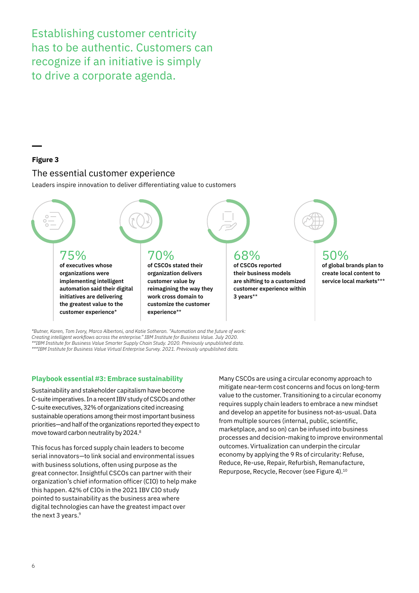Establishing customer centricity has to be authentic. Customers can recognize if an initiative is simply to drive a corporate agenda.

#### **Figure 3**

#### The essential customer experience

Leaders inspire innovation to deliver differentiating value to customers



*\*Butner, Karen, Tom Ivory, Marco Albertoni, and Katie Sotheran. "Automation and the future of work: Creating intelligent workflows across the enterprise." IBM Institute for Business Value. July 2020. \*\*IBM Institute for Business Value Smarter Supply Chain Study. 2020. Previously unpublished data. \*\*\*IBM Institute for Business Value Virtual Enterprise Survey. 2021. Previously unpublished data.*

#### **Playbook essential #3: Embrace sustainability**

Sustainability and stakeholder capitalism have become C-suite imperatives. In a recent IBV study of CSCOs and other C-suite executives, 32% of organizations cited increasing sustainable operations among their most important business priorities—and half of the organizations reported they expect to move toward carbon neutrality by 2024.8

This focus has forced supply chain leaders to become serial innovators—to link social and environmental issues with business solutions, often using purpose as the great connector. Insightful CSCOs can partner with their organization's chief information officer (CIO) to help make this happen. 42% of CIOs in the 2021 IBV CIO study pointed to sustainability as the business area where digital technologies can have the greatest impact over the next 3 years.<sup>9</sup>

Many CSCOs are using a circular economy approach to mitigate near-term cost concerns and focus on long-term value to the customer. Transitioning to a circular economy requires supply chain leaders to embrace a new mindset and develop an appetite for business not-as-usual. Data from multiple sources (internal, public, scientific, marketplace, and so on) can be infused into business processes and decision-making to improve environmental outcomes. Virtualization can underpin the circular economy by applying the 9 Rs of circularity: Refuse, Reduce, Re-use, Repair, Refurbish, Remanufacture, Repurpose, Recycle, Recover (see Figure 4).10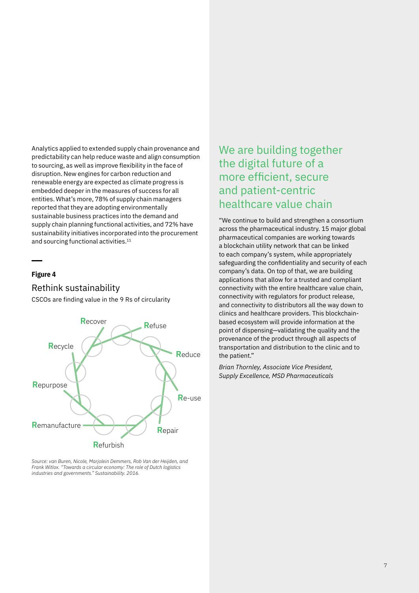Analytics applied to extended supply chain provenance and predictability can help reduce waste and align consumption to sourcing, as well as improve flexibility in the face of disruption. New engines for carbon reduction and renewable energy are expected as climate progress is embedded deeper in the measures of success for all entities. What's more, 78% of supply chain managers reported that they are adopting environmentally sustainable business practices into the demand and supply chain planning functional activities, and 72% have sustainability initiatives incorporated into the procurement and sourcing functional activities.<sup>11</sup>

#### **Figure 4**

#### Rethink sustainability

CSCOs are finding value in the 9 Rs of circularity



*Source: van Buren, Nicole, Marjolein Demmers, Rob Van der Heijden, and Frank Witlox. "Towards a circular economy: The role of Dutch logistics industries and governments." Sustainability. 2016.*

## We are building together the digital future of a more efficient, secure and patient-centric healthcare value chain

"We continue to build and strengthen a consortium across the pharmaceutical industry. 15 major global pharmaceutical companies are working towards a blockchain utility network that can be linked to each company's system, while appropriately safeguarding the confidentiality and security of each company's data. On top of that, we are building applications that allow for a trusted and compliant connectivity with the entire healthcare value chain, connectivity with regulators for product release, and connectivity to distributors all the way down to clinics and healthcare providers. This blockchainbased ecosystem will provide information at the point of dispensing—validating the quality and the provenance of the product through all aspects of transportation and distribution to the clinic and to the patient."

*Brian Thornley, Associate Vice President, Supply Excellence, MSD Pharmaceuticals*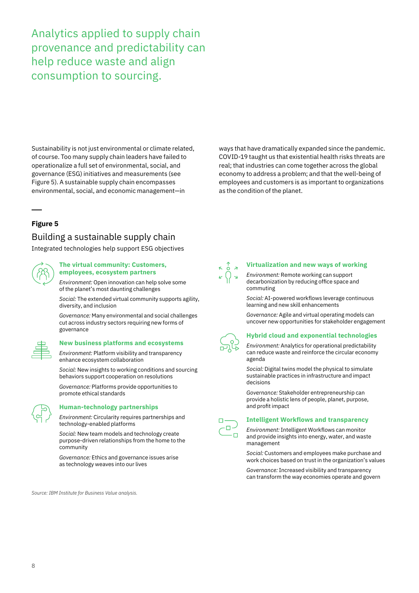Analytics applied to supply chain provenance and predictability can help reduce waste and align consumption to sourcing.

Sustainability is not just environmental or climate related, of course. Too many supply chain leaders have failed to operationalize a full set of environmental, social, and governance (ESG) initiatives and measurements (see Figure 5). A sustainable supply chain encompasses environmental, social, and economic management—in

**Figure 5**

### Building a sustainable supply chain

Integrated technologies help support ESG objectives



#### **The virtual community: Customers, employees, ecosystem partners**

*Environment:* Open innovation can help solve some of the planet's most daunting challenges

*Social:* The extended virtual community supports agility, diversity, and inclusion

*Governance:* Many environmental and social challenges cut across industry sectors requiring new forms of governance



#### **New business platforms and ecosystems**

*Environment:* Platform visibility and transparency enhance ecosystem collaboration

*Social:* New insights to working conditions and sourcing behaviors support cooperation on resolutions

*Governance:* Platforms provide opportunities to promote ethical standards



#### **Human-technology partnerships**

*Environment:* Circularity requires partnerships and technology-enabled platforms

*Social:* New team models and technology create purpose-driven relationships from the home to the community

*Governance:* Ethics and governance issues arise as technology weaves into our lives

*Source: IBM Institute for Business Value analysis.*

ways that have dramatically expanded since the pandemic. COVID-19 taught us that existential health risks threats are real; that industries can come together across the global economy to address a problem; and that the well-being of employees and customers is as important to organizations as the condition of the planet.



#### **Virtualization and new ways of working**

*Environment:* Remote working can support decarbonization by reducing office space and commuting

*Social:* AI-powered workflows leverage continuous learning and new skill enhancements

*Governance:* Agile and virtual operating models can uncover new opportunities for stakeholder engagement



#### **Hybrid cloud and exponential technologies**

*Environment:* Analytics for operational predictability can reduce waste and reinforce the circular economy agenda

*Social:* Digital twins model the physical to simulate sustainable practices in infrastructure and impact decisions

*Governance:* Stakeholder entrepreneurship can provide a holistic lens of people, planet, purpose, and profit impact



#### **Intelligent Workflows and transparency**

*Environment:* Intelligent Workflows can monitor and provide insights into energy, water, and waste management

*Social:* Customers and employees make purchase and work choices based on trust in the organization's values

*Governance:* Increased visibility and transparency can transform the way economies operate and govern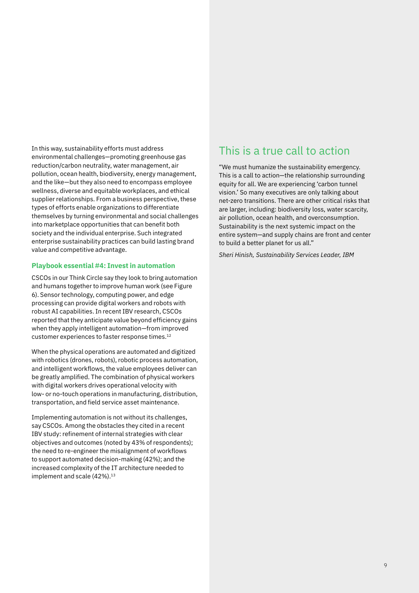In this way, sustainability efforts must address environmental challenges—promoting greenhouse gas reduction/carbon neutrality, water management, air pollution, ocean health, biodiversity, energy management, and the like—but they also need to encompass employee wellness, diverse and equitable workplaces, and ethical supplier relationships. From a business perspective, these types of efforts enable organizations to differentiate themselves by turning environmental and social challenges into marketplace opportunities that can benefit both society and the individual enterprise. Such integrated enterprise sustainability practices can build lasting brand value and competitive advantage.

#### **Playbook essential #4: Invest in automation**

CSCOs in our Think Circle say they look to bring automation and humans together to improve human work (see Figure 6). Sensor technology, computing power, and edge processing can provide digital workers and robots with robust AI capabilities. In recent IBV research, CSCOs reported that they anticipate value beyond efficiency gains when they apply intelligent automation—from improved customer experiences to faster response times.12

When the physical operations are automated and digitized with robotics (drones, robots), robotic process automation, and intelligent workflows, the value employees deliver can be greatly amplified. The combination of physical workers with digital workers drives operational velocity with low- or no-touch operations in manufacturing, distribution, transportation, and field service asset maintenance.

Implementing automation is not without its challenges, say CSCOs. Among the obstacles they cited in a recent IBV study: refinement of internal strategies with clear objectives and outcomes (noted by 43% of respondents); the need to re-engineer the misalignment of workflows to support automated decision-making (42%); and the increased complexity of the IT architecture needed to implement and scale  $(42\%)$ .<sup>13</sup>

### This is a true call to action

"We must humanize the sustainability emergency. This is a call to action—the relationship surrounding equity for all. We are experiencing 'carbon tunnel vision.' So many executives are only talking about net-zero transitions. There are other critical risks that are larger, including: biodiversity loss, water scarcity, air pollution, ocean health, and overconsumption. Sustainability is the next systemic impact on the entire system—and supply chains are front and center to build a better planet for us all."

*Sheri Hinish, Sustainability Services Leader, IBM*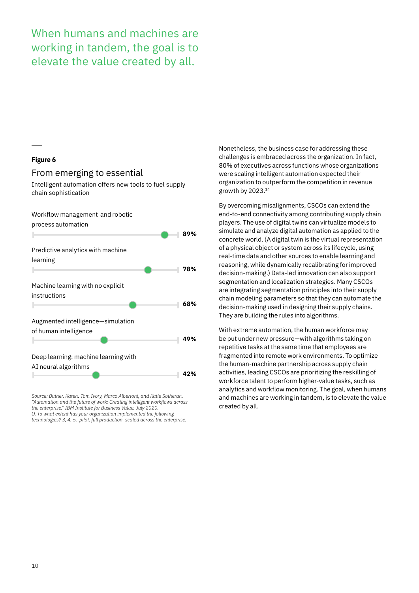When humans and machines are working in tandem, the goal is to elevate the value created by all.

#### **Figure 6**

#### From emerging to essential

Intelligent automation offers new tools to fuel supply chain sophistication



*Source: Butner, Karen, Tom Ivory, Marco Albertoni, and Katie Sotheran. "Automation and the future of work: Creating intelligent workflows across the enterprise." IBM Institute for Business Value. July 2020. Q. To what extent has your organization implemented the following technologies? 3, 4, 5. pilot, full production, scaled across the enterprise.*

Nonetheless, the business case for addressing these challenges is embraced across the organization. In fact, 80% of executives across functions whose organizations were scaling intelligent automation expected their organization to outperform the competition in revenue growth by 2023.14

By overcoming misalignments, CSCOs can extend the end-to-end connectivity among contributing supply chain players. The use of digital twins can virtualize models to simulate and analyze digital automation as applied to the concrete world. (A digital twin is the virtual representation of a physical object or system across its lifecycle, using real-time data and other sources to enable learning and reasoning, while dynamically recalibrating for improved decision-making.) Data-led innovation can also support segmentation and localization strategies. Many CSCOs are integrating segmentation principles into their supply chain modeling parameters so that they can automate the decision-making used in designing their supply chains. They are building the rules into algorithms.

With extreme automation, the human workforce may be put under new pressure—with algorithms taking on repetitive tasks at the same time that employees are fragmented into remote work environments. To optimize the human-machine partnership across supply chain activities, leading CSCOs are prioritizing the reskilling of workforce talent to perform higher-value tasks, such as analytics and workflow monitoring. The goal, when humans and machines are working in tandem, is to elevate the value created by all.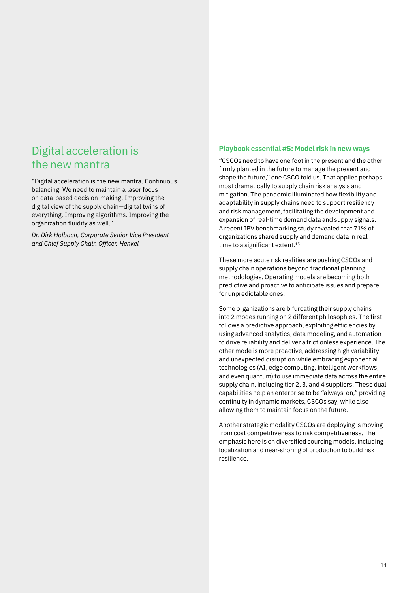### Digital acceleration is the new mantra

"Digital acceleration is the new mantra. Continuous balancing. We need to maintain a laser focus on data-based decision-making. Improving the digital view of the supply chain—digital twins of everything. Improving algorithms. Improving the organization fluidity as well."

*Dr. Dirk Holbach, Corporate Senior Vice President and Chief Supply Chain Officer, Henkel*

#### **Playbook essential #5: Model risk in new ways**

"CSCOs need to have one foot in the present and the other firmly planted in the future to manage the present and shape the future," one CSCO told us. That applies perhaps most dramatically to supply chain risk analysis and mitigation. The pandemic illuminated how flexibility and adaptability in supply chains need to support resiliency and risk management, facilitating the development and expansion of real-time demand data and supply signals. A recent IBV benchmarking study revealed that 71% of organizations shared supply and demand data in real time to a significant extent.<sup>15</sup>

These more acute risk realities are pushing CSCOs and supply chain operations beyond traditional planning methodologies. Operating models are becoming both predictive and proactive to anticipate issues and prepare for unpredictable ones.

Some organizations are bifurcating their supply chains into 2 modes running on 2 different philosophies. The first follows a predictive approach, exploiting efficiencies by using advanced analytics, data modeling, and automation to drive reliability and deliver a frictionless experience. The other mode is more proactive, addressing high variability and unexpected disruption while embracing exponential technologies (AI, edge computing, intelligent workflows, and even quantum) to use immediate data across the entire supply chain, including tier 2, 3, and 4 suppliers. These dual capabilities help an enterprise to be "always-on," providing continuity in dynamic markets, CSCOs say, while also allowing them to maintain focus on the future.

Another strategic modality CSCOs are deploying is moving from cost competitiveness to risk competitiveness. The emphasis here is on diversified sourcing models, including localization and near-shoring of production to build risk resilience.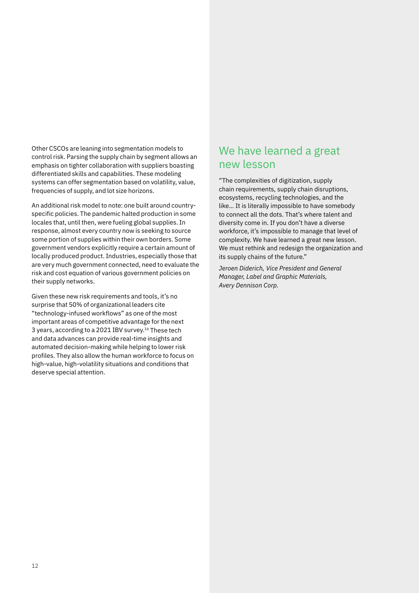Other CSCOs are leaning into segmentation models to control risk. Parsing the supply chain by segment allows an emphasis on tighter collaboration with suppliers boasting differentiated skills and capabilities. These modeling systems can offer segmentation based on volatility, value, frequencies of supply, and lot size horizons.

An additional risk model to note: one built around countryspecific policies. The pandemic halted production in some locales that, until then, were fueling global supplies. In response, almost every country now is seeking to source some portion of supplies within their own borders. Some government vendors explicitly require a certain amount of locally produced product. Industries, especially those that are very much government connected, need to evaluate the risk and cost equation of various government policies on their supply networks.

Given these new risk requirements and tools, it's no surprise that 50% of organizational leaders cite "technology-infused workflows" as one of the most important areas of competitive advantage for the next 3 years, according to a 2021 IBV survey.16 These tech and data advances can provide real-time insights and automated decision-making while helping to lower risk profiles. They also allow the human workforce to focus on high-value, high-volatility situations and conditions that deserve special attention.

### We have learned a great new lesson

"The complexities of digitization, supply chain requirements, supply chain disruptions, ecosystems, recycling technologies, and the like... It is literally impossible to have somebody to connect all the dots. That's where talent and diversity come in. If you don't have a diverse workforce, it's impossible to manage that level of complexity. We have learned a great new lesson. We must rethink and redesign the organization and its supply chains of the future."

*Jeroen Diderich, Vice President and General Manager, Label and Graphic Materials, Avery Dennison Corp.*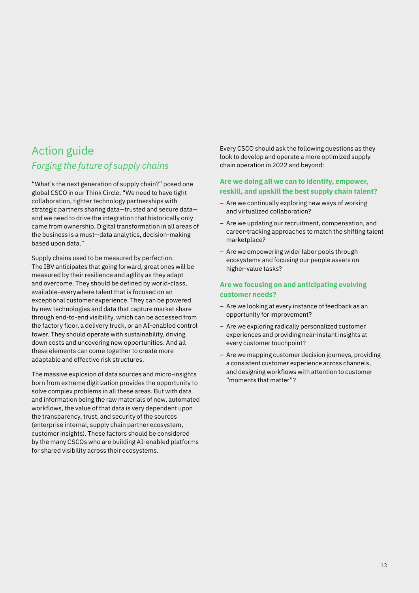### Action guide *Forging the future of supply chains*

"What's the next generation of supply chain?" posed one global CSCO in our Think Circle. "We need to have tight collaboration, tighter technology partnerships with strategic partners sharing data—trusted and secure data and we need to drive the integration that historically only came from ownership. Digital transformation in all areas of the business is a must—data analytics, decision-making based upon data."

Supply chains used to be measured by perfection. The IBV anticipates that going forward, great ones will be measured by their resilience and agility as they adapt and overcome. They should be defined by world-class, available-everywhere talent that is focused on an exceptional customer experience. They can be powered by new technologies and data that capture market share through end-to-end visibility, which can be accessed from the factory floor, a delivery truck, or an AI-enabled control tower. They should operate with sustainability, driving down costs and uncovering new opportunities. And all these elements can come together to create more adaptable and effective risk structures.

The massive explosion of data sources and micro-insights born from extreme digitization provides the opportunity to solve complex problems in all these areas. But with data and information being the raw materials of new, automated workflows, the value of that data is very dependent upon the transparency, trust, and security of the sources (enterprise internal, supply chain partner ecosystem, customer insights). These factors should be considered by the many CSCOs who are building AI-enabled platforms for shared visibility across their ecosystems.

Every CSCO should ask the following questions as they look to develop and operate a more optimized supply chain operation in 2022 and beyond:

#### **Are we doing all we can to identify, empower, reskill, and upskill the best supply chain talent?**

- Are we continually exploring new ways of working and virtualized collaboration?
- Are we updating our recruitment, compensation, and career-tracking approaches to match the shifting talent marketplace?
- Are we empowering wider labor pools through ecosystems and focusing our people assets on higher-value tasks?

#### **Are we focusing on and anticipating evolving customer needs?**

- Are we looking at every instance of feedback as an opportunity for improvement?
- Are we exploring radically personalized customer experiences and providing near-instant insights at every customer touchpoint?
- Are we mapping customer decision journeys, providing a consistent customer experience across channels, and designing workflows with attention to customer "moments that matter"?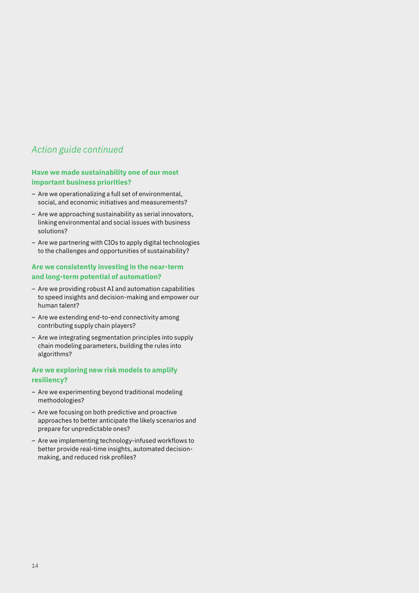### *Action guide continued*

#### **Have we made sustainability one of our most important business priorities?**

- Are we operationalizing a full set of environmental, social, and economic initiatives and measurements?
- Are we approaching sustainability as serial innovators, linking environmental and social issues with business solutions?
- Are we partnering with CIOs to apply digital technologies to the challenges and opportunities of sustainability?

#### **Are we consistently investing in the near-term and long-term potential of automation?**

- Are we providing robust AI and automation capabilities to speed insights and decision-making and empower our human talent?
- Are we extending end-to-end connectivity among contributing supply chain players?
- Are we integrating segmentation principles into supply chain modeling parameters, building the rules into algorithms?

#### **Are we exploring new risk models to amplify resiliency?**

- Are we experimenting beyond traditional modeling methodologies?
- Are we focusing on both predictive and proactive approaches to better anticipate the likely scenarios and prepare for unpredictable ones?
- Are we implementing technology-infused workflows to better provide real-time insights, automated decisionmaking, and reduced risk profiles?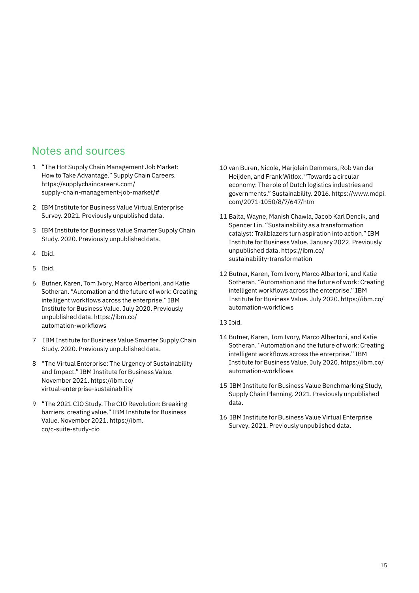### Notes and sources

- 1 "The Hot Supply Chain Management Job Market: How to Take Advantage." Supply Chain Careers. [https://supplychaincareers.com/](https://supplychaincareers.com/supply-chain-management-job-market/#) [supply-chain-management-job-market/#](https://supplychaincareers.com/supply-chain-management-job-market/#)
- 2 IBM Institute for Business Value Virtual Enterprise Survey. 2021. Previously unpublished data.
- 3 IBM Institute for Business Value Smarter Supply Chain Study. 2020. Previously unpublished data.
- 4 Ibid.
- 5 Ibid.
- 6 Butner, Karen, Tom Ivory, Marco Albertoni, and Katie Sotheran. "Automation and the future of work: Creating intelligent workflows across the enterprise." IBM Institute for Business Value. July 2020. Previously unpublished data. [https://ibm.co/](https://ibm.co/automation-workflows) [automation-workflows](https://ibm.co/automation-workflows)
- 7 IBM Institute for Business Value Smarter Supply Chain Study. 2020. Previously unpublished data.
- 8 "The Virtual Enterprise: The Urgency of Sustainability and Impact." IBM Institute for Business Value. November 2021. [https://ibm.co/](https://ibm.co/virtual-enterprise-sustainability) [virtual-enterprise-sustainability](https://ibm.co/virtual-enterprise-sustainability)
- 9 "The 2021 CIO Study. The CIO Revolution: Breaking barriers, creating value." IBM Institute for Business Value. November 2021. [https://ibm.](https://ibm.co/c-suite-study-cio) [co/c-suite-study-cio](https://ibm.co/c-suite-study-cio)
- 10 van Buren, Nicole, Marjolein Demmers, Rob Van der Heijden, and Frank Witlox. "Towards a circular economy: The role of Dutch logistics industries and governments." Sustainability. 2016. [https://www.mdpi.](https://www.mdpi.com/2071-1050/8/7/647/htm) [com/2071-1050/8/7/647/htm](https://www.mdpi.com/2071-1050/8/7/647/htm)
- 11 Balta, Wayne, Manish Chawla, Jacob Karl Dencik, and Spencer Lin. "Sustainability as a transformation catalyst: Trailblazers turn aspiration into action." IBM Institute for Business Value. January 2022. Previously unpublished data. [https://ibm.co/](https://ibm.co/sustainability-transformation) [sustainability-transformation](https://ibm.co/sustainability-transformation)
- 12 Butner, Karen, Tom Ivory, Marco Albertoni, and Katie Sotheran. "Automation and the future of work: Creating intelligent workflows across the enterprise." IBM Institute for Business Value. July 2020. [https://ibm.co/](https://ibm.co/automation-workflows) [automation-workflows](https://ibm.co/automation-workflows)
- 13 Ibid.
- 14 Butner, Karen, Tom Ivory, Marco Albertoni, and Katie Sotheran. "Automation and the future of work: Creating intelligent workflows across the enterprise." IBM Institute for Business Value. July 2020. [https://ibm.co/](https://ibm.co/automation-workflows) [automation-workflows](https://ibm.co/automation-workflows)
- 15 IBM Institute for Business Value Benchmarking Study, Supply Chain Planning. 2021. Previously unpublished data.
- 16 IBM Institute for Business Value Virtual Enterprise Survey. 2021. Previously unpublished data.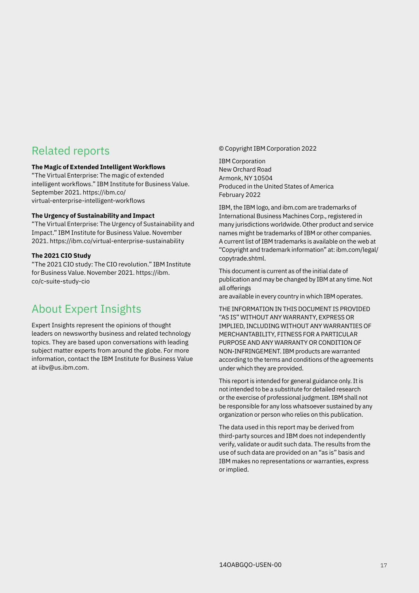### Related reports

#### **The Magic of Extended Intelligent Workflows**

"The Virtual Enterprise: The magic of extended intelligent workflows." IBM Institute for Business Value. September 2021. [https://ibm.co/](https://ibm.co/virtual-enterprise-intelligent-workflows) [virtual-enterprise-intelligent-workflows](https://ibm.co/virtual-enterprise-intelligent-workflows)

#### **The Urgency of Sustainability and Impact**

"The Virtual Enterprise: The Urgency of Sustainability and Impact." IBM Institute for Business Value. November 2021.<https://ibm.co/virtual-enterprise-sustainability>

#### **The 2021 CIO Study**

"The 2021 CIO study: The CIO revolution." IBM Institute for Business Value. November 2021. [https://ibm.](https://ibm.co/c-suite-study-cio) [co/c-suite-study-cio](https://ibm.co/c-suite-study-cio)

### About Expert Insights

Expert Insights represent the opinions of thought leaders on newsworthy business and related technology topics. They are based upon conversations with leading subject matter experts from around the globe. For more information, contact the IBM Institute for Business Value at [iibv@us.ibm.com](mailto:iibv%40us.ibm.com?subject=).

© Copyright IBM Corporation 2022

IBM Corporation New Orchard Road Armonk, NY 10504 Produced in the United States of America February 2022

IBM, the IBM logo, and [ibm.com](http://www.ibm.com) are trademarks of International Business Machines Corp., registered in many jurisdictions worldwide. Other product and service names might be trademarks of IBM or other companies. A current list of IBM trademarks is available on the web at "Copyright and trademark information" at: [ibm.com/legal/](http://www.ibm.com/legal/copytrade.shtml) [copytrade.shtml.](http://www.ibm.com/legal/copytrade.shtml)

This document is current as of the initial date of publication and may be changed by IBM at any time. Not all offerings

are available in every country in which IBM operates.

THE INFORMATION IN THIS DOCUMENT IS PROVIDED "AS IS" WITHOUT ANY WARRANTY, EXPRESS OR IMPLIED, INCLUDING WITHOUT ANY WARRANTIES OF MERCHANTABILITY, FITNESS FOR A PARTICULAR PURPOSE AND ANY WARRANTY OR CONDITION OF NON-INFRINGEMENT. IBM products are warranted according to the terms and conditions of the agreements under which they are provided.

This report is intended for general guidance only. It is not intended to be a substitute for detailed research or the exercise of professional judgment. IBM shall not be responsible for any loss whatsoever sustained by any organization or person who relies on this publication.

The data used in this report may be derived from third-party sources and IBM does not independently verify, validate or audit such data. The results from the use of such data are provided on an "as is" basis and IBM makes no representations or warranties, express or implied.